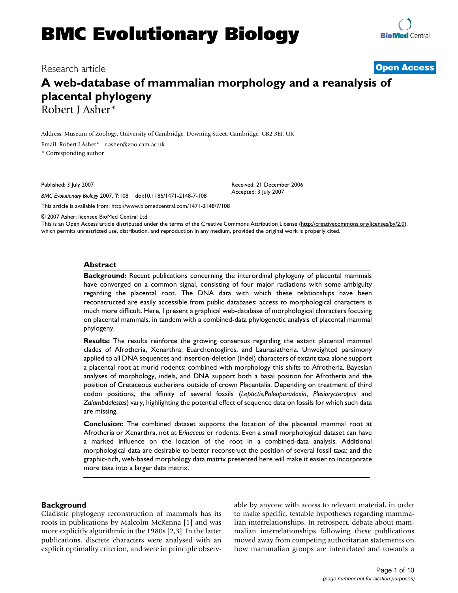## Research article **[Open Access](http://www.biomedcentral.com/info/about/charter/)**

# **A web-database of mammalian morphology and a reanalysis of placental phylogeny** Robert J Asher\*

Address: Museum of Zoology, University of Cambridge, Downing Street, Cambridge, CB2 3EJ, UK

Email: Robert J Asher\* - r.asher@zoo.cam.ac.uk \* Corresponding author

Published: 3 July 2007

*BMC Evolutionary Biology* 2007, **7**:108 doi:10.1186/1471-2148-7-108

[This article is available from: http://www.biomedcentral.com/1471-2148/7/108](http://www.biomedcentral.com/1471-2148/7/108)

© 2007 Asher; licensee BioMed Central Ltd.

This is an Open Access article distributed under the terms of the Creative Commons Attribution License [\(http://creativecommons.org/licenses/by/2.0\)](http://creativecommons.org/licenses/by/2.0), which permits unrestricted use, distribution, and reproduction in any medium, provided the original work is properly cited.

Received: 21 December 2006 Accepted: 3 July 2007

#### **Abstract**

**Background:** Recent publications concerning the interordinal phylogeny of placental mammals have converged on a common signal, consisting of four major radiations with some ambiguity regarding the placental root. The DNA data with which these relationships have been reconstructed are easily accessible from public databases; access to morphological characters is much more difficult. Here, I present a graphical web-database of morphological characters focusing on placental mammals, in tandem with a combined-data phylogenetic analysis of placental mammal phylogeny.

**Results:** The results reinforce the growing consensus regarding the extant placental mammal clades of Afrotheria, Xenarthra, Euarchontoglires, and Laurasiatheria. Unweighted parsimony applied to all DNA sequences and insertion-deletion (indel) characters of extant taxa alone support a placental root at murid rodents; combined with morphology this shifts to Afrotheria. Bayesian analyses of morphology, indels, and DNA support both a basal position for Afrotheria and the position of Cretaceous eutherians outside of crown Placentalia. Depending on treatment of third codon positions, the affinity of several fossils (*Leptictis*,*Paleoparadoxia*, *Plesiorycteropus* and *Zalambdalestes*) vary, highlighting the potential effect of sequence data on fossils for which such data are missing.

**Conclusion:** The combined dataset supports the location of the placental mammal root at Afrotheria or Xenarthra, not at *Erinaceus* or rodents. Even a small morphological dataset can have a marked influence on the location of the root in a combined-data analysis. Additional morphological data are desirable to better reconstruct the position of several fossil taxa; and the graphic-rich, web-based morphology data matrix presented here will make it easier to incorporate more taxa into a larger data matrix.

## **Background**

Cladistic phylogeny reconstruction of mammals has its roots in publications by Malcolm McKenna [1] and was more explicitly algorithmic in the 1980s [2,3]. In the latter publications, discrete characters were analysed with an explicit optimality criterion, and were in principle observable by anyone with access to relevant material, in order to make specific, testable hypotheses regarding mammalian interrelationships. In retrospect, debate about mammalian interrelationships following these publications moved away from competing authoritarian statements on how mammalian groups are interrelated and towards a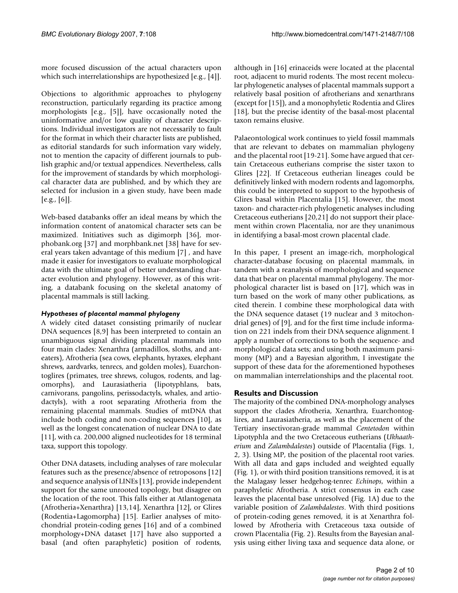more focused discussion of the actual characters upon which such interrelationships are hypothesized [e.g., [4]].

Objections to algorithmic approaches to phylogeny reconstruction, particularly regarding its practice among morphologists [e.g., [5]], have occasionally noted the uninformative and/or low quality of character descriptions. Individual investigators are not necessarily to fault for the format in which their character lists are published, as editorial standards for such information vary widely, not to mention the capacity of different journals to publish graphic and/or textual appendices. Nevertheless, calls for the improvement of standards by which morphological character data are published, and by which they are selected for inclusion in a given study, have been made [e.g., [6]].

Web-based databanks offer an ideal means by which the information content of anatomical character sets can be maximized. Initiatives such as digimorph [36], morphobank.org [37] and morphbank.net [38] have for several years taken advantage of this medium [7] , and have made it easier for investigators to evaluate morphological data with the ultimate goal of better understanding character evolution and phylogeny. However, as of this writing, a databank focusing on the skeletal anatomy of placental mammals is still lacking.

## *Hypotheses of placental mammal phylogeny*

A widely cited dataset consisting primarily of nuclear DNA sequences [8,9] has been interpreted to contain an unambiguous signal dividing placental mammals into four main clades: Xenarthra (armadillos, sloths, and anteaters), Afrotheria (sea cows, elephants, hyraxes, elephant shrews, aardvarks, tenrecs, and golden moles), Euarchontoglires (primates, tree shrews, colugos, rodents, and lagomorphs), and Laurasiatheria (lipotyphlans, bats, carnivorans, pangolins, perissodactyls, whales, and artiodactyls), with a root separating Afrotheria from the remaining placental mammals. Studies of mtDNA that include both coding and non-coding sequences [10], as well as the longest concatenation of nuclear DNA to date [11], with ca. 200,000 aligned nucleotides for 18 terminal taxa, support this topology.

Other DNA datasets, including analyses of rare molecular features such as the presence/absence of retroposons [12] and sequence analysis of LINEs [13], provide independent support for the same unrooted topology, but disagree on the location of the root. This falls either at Atlantogenata (Afrotheria+Xenarthra) [13,14], Xenarthra [12], or Glires (Rodentia+Lagomorpha) [15]. Earlier analyses of mitochondrial protein-coding genes [16] and of a combined morphology+DNA dataset [17] have also supported a basal (and often paraphyletic) position of rodents,

although in [16] erinaceids were located at the placental root, adjacent to murid rodents. The most recent molecular phylogenetic analyses of placental mammals support a relatively basal position of afrotherians and xenarthrans (except for [15]), and a monophyletic Rodentia and Glires [18], but the precise identity of the basal-most placental taxon remains elusive.

Palaeontological work continues to yield fossil mammals that are relevant to debates on mammalian phylogeny and the placental root [19-21]. Some have argued that certain Cretaceous eutherians comprise the sister taxon to Glires [22]. If Cretaceous eutherian lineages could be definitively linked with modern rodents and lagomorphs, this could be interpreted to support to the hypothesis of Glires basal within Placentalia [15]. However, the most taxon- and character-rich phylogenetic analyses including Cretaceous eutherians [20,21] do not support their placement within crown Placentalia, nor are they unanimous in identifying a basal-most crown placental clade.

In this paper, I present an image-rich, morphological character-database focusing on placental mammals, in tandem with a reanalysis of morphological and sequence data that bear on placental mammal phylogeny. The morphological character list is based on [17], which was in turn based on the work of many other publications, as cited therein. I combine these morphological data with the DNA sequence dataset (19 nuclear and 3 mitochondrial genes) of [9], and for the first time include information on 221 indels from their DNA sequence alignment. I apply a number of corrections to both the sequence- and morphological data sets; and using both maximum parsimony (MP) and a Bayesian algorithm, I investigate the support of these data for the aforementioned hypotheses on mammalian interrelationships and the placental root.

## **Results and Discussion**

The majority of the combined DNA-morphology analyses support the clades Afrotheria, Xenarthra, Euarchontoglires, and Laurasiatheria, as well as the placement of the Tertiary insectivoran-grade mammal *Centetodon* within Lipotyphla and the two Cretaceous eutherians (*Ukhaatherium* and *Zalambdalestes*) outside of Placentalia (Figs. 1, 2, 3). Using MP, the position of the placental root varies. With all data and gaps included and weighted equally (Fig. 1), or with third position transitions removed, it is at the Malagasy lesser hedgehog-tenrec *Echinops*, within a paraphyletic Afrotheria. A strict consensus in each case leaves the placental base unresolved (Fig. 1A) due to the variable position of *Zalambdalestes*. With third positions of protein-coding genes removed, it is at Xenarthra followed by Afrotheria with Cretaceous taxa outside of crown Placentalia (Fig. 2). Results from the Bayesian analysis using either living taxa and sequence data alone, or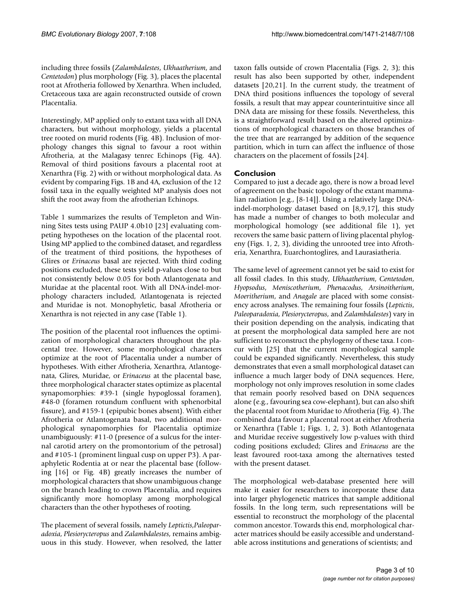including three fossils (*Zalambdalestes*, *Ukhaatherium*, and *Centetodon*) plus morphology (Fig. 3), places the placental root at Afrotheria followed by Xenarthra. When included, Cretaceous taxa are again reconstructed outside of crown Placentalia.

Interestingly, MP applied only to extant taxa with all DNA characters, but without morphology, yields a placental tree rooted on murid rodents (Fig. 4B). Inclusion of morphology changes this signal to favour a root within Afrotheria, at the Malagasy tenrec Echinops (Fig. 4A). Removal of third positions favours a placental root at Xenarthra (Fig. 2) with or without morphological data. As evident by comparing Figs. 1B and 4A, exclusion of the 12 fossil taxa in the equally weighted MP analysis does not shift the root away from the afrotherian Echinops.

Table 1 summarizes the results of Templeton and Winning Sites tests using PAUP 4.0b10 [23] evaluating competing hypotheses on the location of the placental root. Using MP applied to the combined dataset, and regardless of the treatment of third positions, the hypotheses of Glires or *Erinaceus* basal are rejected. With third coding positions excluded, these tests yield p-values close to but not consistently below 0.05 for both Atlantogenata and Muridae at the placental root. With all DNA-indel-morphology characters included, Atlantogenata is rejected and Muridae is not. Monophyletic, basal Afrotheria or Xenarthra is not rejected in any case (Table 1).

The position of the placental root influences the optimization of morphological characters throughout the placental tree. However, some morphological characters optimize at the root of Placentalia under a number of hypotheses. With either Afrotheria, Xenarthra, Atlantogenata, Glires, Muridae, or *Erinaceus* at the placental base, three morphological character states optimize as placental synapomorphies: #39-1 (single hypoglossal foramen), #48-0 (foramen rotundum confluent with sphenorbital fissure), and #159-1 (epipubic bones absent). With either Afrotheria or Atlantogenata basal, two additional morphological synapomorphies for Placentalia optimize unambiguously: #11-0 (presence of a sulcus for the internal carotid artery on the promontorium of the petrosal) and #105-1 (prominent lingual cusp on upper P3). A paraphyletic Rodentia at or near the placental base (following [16] or Fig. 4B) greatly increases the number of morphological characters that show unambiguous change on the branch leading to crown Placentalia, and requires significantly more homoplasy among morphological characters than the other hypotheses of rooting.

The placement of several fossils, namely *Leptictis*,*Paleoparadoxia*, *Plesiorycteropus* and *Zalambdalestes*, remains ambiguous in this study. However, when resolved, the latter

taxon falls outside of crown Placentalia (Figs. 2, 3); this result has also been supported by other, independent datasets [20,21]. In the current study, the treatment of DNA third positions influences the topology of several fossils, a result that may appear counterintuitive since all DNA data are missing for these fossils. Nevertheless, this is a straightforward result based on the altered optimizations of morphological characters on those branches of the tree that are rearranged by addition of the sequence partition, which in turn can affect the influence of those characters on the placement of fossils [24].

## **Conclusion**

Compared to just a decade ago, there is now a broad level of agreement on the basic topology of the extant mammalian radiation [e.g., [8-14]]. Using a relatively large DNAindel-morphology dataset based on [8,9,17], this study has made a number of changes to both molecular and morphological homology (see additional file 1), yet recovers the same basic pattern of living placental phylogeny (Figs. 1, 2, 3), dividing the unrooted tree into Afrotheria, Xenarthra, Euarchontoglires, and Laurasiatheria.

The same level of agreement cannot yet be said to exist for all fossil clades. In this study, *Ukhaatherium*, *Centetodon*, *Hyopsodus*, *Meniscotherium*, *Phenacodus*, *Arsinoitherium*, *Moeritherium*, and *Anagale* are placed with some consistency across analyses. The remaining four fossils (*Leptictis*, *Paleoparadoxia*, *Plesiorycteropus*, and *Zalambdalestes*) vary in their position depending on the analysis, indicating that at present the morphological data sampled here are not sufficient to reconstruct the phylogeny of these taxa. I concur with [25] that the current morphological sample could be expanded significantly. Nevertheless, this study demonstrates that even a small morphological dataset can influence a much larger body of DNA sequences. Here, morphology not only improves resolution in some clades that remain poorly resolved based on DNA sequences alone (e.g., favouring sea cow-elephant), but can also shift the placental root from Muridae to Afrotheria (Fig. 4). The combined data favour a placental root at either Afrotheria or Xenarthra (Table 1; Figs. 1, 2, 3). Both Atlantogenata and Muridae receive suggestively low p-values with third coding positions excluded; Glires and *Erinaceus* are the least favoured root-taxa among the alternatives tested with the present dataset.

The morphological web-database presented here will make it easier for researchers to incorporate these data into larger phylogenetic matrices that sample additional fossils. In the long term, such representations will be essential to reconstruct the morphology of the placental common ancestor. Towards this end, morphological character matrices should be easily accessible and understandable across institutions and generations of scientists; and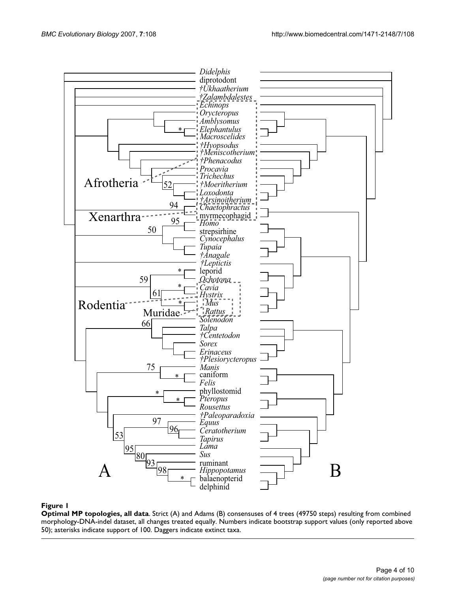

#### **Figure 1**

**Optimal MP topologies, all data**. Strict (A) and Adams (B) consensuses of 4 trees (49750 steps) resulting from combined morphology-DNA-indel dataset, all changes treated equally. Numbers indicate bootstrap support values (only reported above 50); asterisks indicate support of 100. Daggers indicate extinct taxa.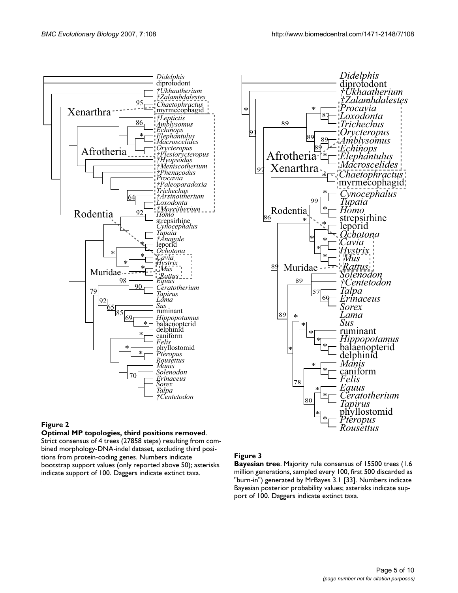



#### **Optimal MP topologies, third positions removed**.

Strict consensus of 4 trees (27858 steps) resulting from combined morphology-DNA-indel dataset, excluding third positions from protein-coding genes. Numbers indicate bootstrap support values (only reported above 50); asterisks indicate support of 100. Daggers indicate extinct taxa.

## **Figure 3**

\*

**Bayesian tree**. Majority rule consensus of 15500 trees (1.6 million generations, sampled every 100, first 500 discarded as "burn-in") generated by MrBayes 3.1 [33]. Numbers indicate Bayesian posterior probability values; asterisks indicate support of 100. Daggers indicate extinct taxa.

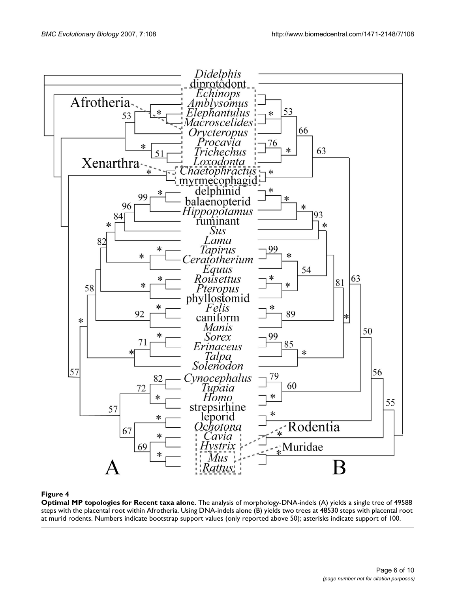

## Figure 4

**Optimal MP topologies for Recent taxa alone**. The analysis of morphology-DNA-indels (A) yields a single tree of 49588 steps with the placental root within Afrotheria. Using DNA-indels alone (B) yields two trees at 48530 steps with placental root at murid rodents. Numbers indicate bootstrap support values (only reported above 50); asterisks indicate support of 100.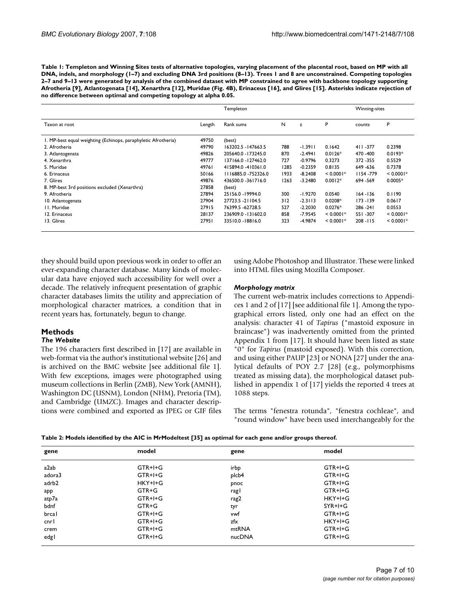**Table 1: Templeton and Winning Sites tests of alternative topologies, varying placement of the placental root, based on MP with all DNA, indels, and morphology (1–7) and excluding DNA 3rd positions (8–13). Trees 1 and 8 are unconstrained. Competing topologies 2–7 and 9–13 were generated by analysis of the combined dataset with MP constrained to agree with backbone topology supporting Afrotheria [9], Atlantogenata [14], Xenarthra [12], Muridae (Fig. 4B), Erinaceus [16], and Glires [15]. Asterisks indicate rejection of no difference between optimal and competing topology at alpha 0.05.**

|                                                                |        | Templeton           |      |              |             | Winning-sites |             |
|----------------------------------------------------------------|--------|---------------------|------|--------------|-------------|---------------|-------------|
| Taxon at root                                                  | Length | Rank sums           | N    | z            | P           | counts        | P           |
| I. MP-best equal weighting (Echinops, paraphyletic Afrotheria) | 49750  | (best)              |      |              |             |               |             |
| 2. Afrotheria                                                  | 49790  | 163202.5 - 147663.5 | 788  | $-1.3911$    | 0.1642      | 411 - 377     | 0.2398      |
| 3. Atlantogenata                                               | 49826  | 205640.0 - 173245.0 | 870  | $-2.4941$    | $0.0126*$   | 470 - 400     | $0.0193*$   |
| 4. Xenarthra                                                   | 49777  | 137166.0 - 127462.0 | 727  | $-0.9796$    | 0.3273      | 372 - 355     | 0.5529      |
| 5. Muridae                                                     | 49761  | 415894.0 -410361.0  | 1285 | $-0.2359$    | 0.8135      | 649 - 636     | 0.7378      |
| 6. Erinaceus                                                   | 50166  | 1116885.0 -752326.0 | 1933 | $-8.2408$    | $< 0.0001*$ | 1154 - 779    | $< 0.0001*$ |
| 7. Glires                                                      | 49876  | 436500.0 -361716.0  | 1263 | $-3.2480$    | $0.0012*$   | 694 - 569     | $0.0005*$   |
| 8. MP-best 3rd positions excluded (Xenarthra)                  | 27858  | (best)              |      |              |             |               |             |
| 9. Afrotheria                                                  | 27894  | 25156.0 -19994.0    | 300  | $-1.9270$    | 0.0540      | $164 - 136$   | 0.1190      |
| 10. Atlantogenata                                              | 27904  | 27723.5 - 21104.5   | 312  | $-2.3$     3 | $0.0208*$   | $173 - 139$   | 0.0617      |
| 11. Muridae                                                    | 27915  | 76399.5 - 62728.5   | 527  | $-2.2030$    | $0.0276*$   | 286 - 241     | 0.0553      |
| 12. Erinaceus                                                  | 28137  | 236909.0 -131602.0  | 858  | $-7.9545$    | $< 0.0001*$ | 551-307       | $< 0.0001*$ |
| 13. Glires                                                     | 27951  | 33510.0 - 18816.0   | 323  | $-4.9874$    | $< 0.0001*$ | $208 - 115$   | $< 0.0001*$ |

they should build upon previous work in order to offer an ever-expanding character database. Many kinds of molecular data have enjoyed such accessibility for well over a decade. The relatively infrequent presentation of graphic character databases limits the utility and appreciation of morphological character matrices, a condition that in recent years has, fortunately, begun to change.

## **Methods**

## *The Website*

The 196 characters first described in [17] are available in web-format via the author's institutional website [26] and is archived on the BMC website [see additional file 1]. With few exceptions, images were photographed using museum collections in Berlin (ZMB), New York (AMNH), Washington DC (USNM), London (NHM), Pretoria (TM), and Cambridge (UMZC). Images and character descriptions were combined and exported as JPEG or GIF files using Adobe Photoshop and Illustrator. These were linked into HTML files using Mozilla Composer.

#### *Morphology matrix*

The current web-matrix includes corrections to Appendices 1 and 2 of [17] [see additional file 1]. Among the typographical errors listed, only one had an effect on the analysis: character 41 of *Tapirus* ("mastoid exposure in braincase") was inadvertently omitted from the printed Appendix 1 from [17]. It should have been listed as state "0" for *Tapirus* (mastoid exposed). With this correction, and using either PAUP [23] or NONA [27] under the analytical defaults of POY 2.7 [28] (e.g., polymorphisms treated as missing data), the morphological dataset published in appendix 1 of [17] yields the reported 4 trees at 1088 steps.

The terms "fenestra rotunda", "fenestra cochleae", and "round window" have been used interchangeably for the

|  |  | Table 2: Models identified by the AIC in MrModeltest [35] as optimal for each gene and/or groups thereof. |
|--|--|-----------------------------------------------------------------------------------------------------------|
|  |  |                                                                                                           |

| gene   | model     | gene   | model     |
|--------|-----------|--------|-----------|
| a2ab   | $GTR+H+G$ | irbp   | $GTR+H+G$ |
| adora3 | $GTR+H+G$ | plcb4  | $GTR+H+G$ |
| adrb2  | $HKY+H-G$ | pnoc   | $GTR+H+G$ |
| app    | $GTR+G$   | ragl   | $GTR+H+G$ |
| atp7a  | $GTR+H+G$ | rag2   | HKY+I+G   |
| bdnf   | $GTR+G$   | tyr    | $SYR+H-G$ |
| brcal  | $GTR+H+G$ | vwf    | $GTR+H+G$ |
| cnrl   | $GTR+H+G$ | zfx    | $HKY+H-G$ |
| crem   | $GTR+H+G$ | mtRNA  | $GTR+H+G$ |
| edgl   | $GTR+H+G$ | nucDNA | $GTR+H+G$ |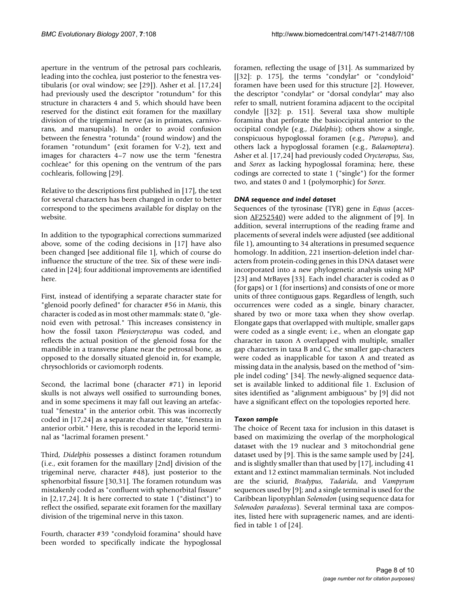aperture in the ventrum of the petrosal pars cochlearis, leading into the cochlea, just posterior to the fenestra vestibularis (or oval window; see [29]). Asher et al. [17,24] had previously used the descriptor "rotundum" for this structure in characters 4 and 5, which should have been reserved for the distinct exit foramen for the maxillary division of the trigeminal nerve (as in primates, carnivorans, and marsupials). In order to avoid confusion between the fenestra "rotunda" (round window) and the foramen "rotundum" (exit foramen for V-2), text and images for characters 4–7 now use the term "fenestra cochleae" for this opening on the ventrum of the pars cochlearis, following [29].

Relative to the descriptions first published in [17], the text for several characters has been changed in order to better correspond to the specimens available for display on the website.

In addition to the typographical corrections summarized above, some of the coding decisions in [17] have also been changed [see additional file 1], which of course do influence the structure of the tree. Six of these were indicated in [24]; four additional improvements are identified here.

First, instead of identifying a separate character state for "glenoid poorly defined" for character #56 in *Manis*, this character is coded as in most other mammals: state 0, "glenoid even with petrosal." This increases consistency in how the fossil taxon *Plesiorycteropus* was coded, and reflects the actual position of the glenoid fossa for the mandible in a transverse plane near the petrosal bone, as opposed to the dorsally situated glenoid in, for example, chrysochlorids or caviomorph rodents.

Second, the lacrimal bone (character #71) in leporid skulls is not always well ossified to surrounding bones, and in some specimens it may fall out leaving an artefactual "fenestra" in the anterior orbit. This was incorrectly coded in [17,24] as a separate character state, "fenestra in anterior orbit." Here, this is recoded in the leporid terminal as "lacrimal foramen present."

Third, *Didelphis* possesses a distinct foramen rotundum (i.e., exit foramen for the maxillary [2nd] division of the trigeminal nerve, character #48), just posterior to the sphenorbital fissure [30,31]. The foramen rotundum was mistakenly coded as "confluent with sphenorbital fissure" in  $[2,17,24]$ . It is here corrected to state 1 ("distinct") to reflect the ossified, separate exit foramen for the maxillary division of the trigeminal nerve in this taxon.

Fourth, character #39 "condyloid foramina" should have been worded to specifically indicate the hypoglossal

foramen, reflecting the usage of [31]. As summarized by [[32]: p. 175], the terms "condylar" or "condyloid" foramen have been used for this structure [2]. However, the descriptor "condylar" or "dorsal condylar" may also refer to small, nutrient foramina adjacent to the occipital condyle [[32]: p. 151]. Several taxa show multiple foramina that perforate the basioccipital anterior to the occipital condyle (e.g., *Didelphis*); others show a single, conspicuous hypoglossal foramen (e.g., *Pteropus*), and others lack a hypoglossal foramen (e.g., *Balaenoptera*). Asher et al. [17,24] had previously coded *Orycteropus, Sus*, and *Sorex* as lacking hypoglossal foramina; here, these codings are corrected to state 1 ("single") for the former two, and states 0 and 1 (polymorphic) for *Sorex*.

## *DNA sequence and indel dataset*

Sequences of the tyrosinase (TYR) gene in *Equus* (accession [AF252540](http://www.ncbi.nih.gov/entrez/query.fcgi?db=Nucleotide&cmd=search&term=AF252540)) were added to the alignment of [9]. In addition, several interruptions of the reading frame and placements of several indels were adjusted (see additional file 1), amounting to 34 alterations in presumed sequence homology. In addition, 221 insertion-deletion indel characters from protein-coding genes in this DNA dataset were incorporated into a new phylogenetic analysis using MP [23] and MrBayes [33]. Each indel character is coded as 0 (for gaps) or 1 (for insertions) and consists of one or more units of three contiguous gaps. Regardless of length, such occurrences were coded as a single, binary character, shared by two or more taxa when they show overlap. Elongate gaps that overlapped with multiple, smaller gaps were coded as a single event; i.e., when an elongate gap character in taxon A overlapped with multiple, smaller gap characters in taxa B and C, the smaller gap-characters were coded as inapplicable for taxon A and treated as missing data in the analysis, based on the method of "simple indel coding" [34]. The newly-aligned sequence dataset is available linked to additional file 1. Exclusion of sites identified as "alignment ambiguous" by [9] did not have a significant effect on the topologies reported here.

## *Taxon sample*

The choice of Recent taxa for inclusion in this dataset is based on maximizing the overlap of the morphological dataset with the 19 nuclear and 3 mitochondrial gene dataset used by [9]. This is the same sample used by [24], and is slightly smaller than that used by [17], including 41 extant and 12 extinct mammalian terminals. Not included are the sciurid, *Bradypus, Tadarida*, and *Vampyrum* sequences used by [9]; and a single terminal is used for the Caribbean lipotyphlan *Solenodon* (using sequence data for *Solenodon paradoxus*). Several terminal taxa are composites, listed here with suprageneric names, and are identified in table 1 of [24].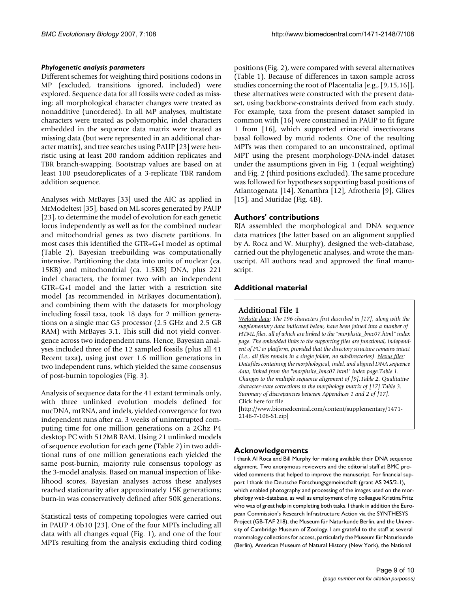#### *Phylogenetic analysis parameters*

Different schemes for weighting third positions codons in MP (excluded, transitions ignored, included) were explored. Sequence data for all fossils were coded as missing; all morphological character changes were treated as nonadditive (unordered). In all MP analyses, multistate characters were treated as polymorphic, indel characters embedded in the sequence data matrix were treated as missing data (but were represented in an additional character matrix), and tree searches using PAUP [23] were heuristic using at least 200 random addition replicates and TBR branch-swapping. Bootstrap values are based on at least 100 pseudoreplicates of a 3-replicate TBR random addition sequence.

Analyses with MrBayes [33] used the AIC as applied in MrModeltest [35], based on ML scores generated by PAUP [23], to determine the model of evolution for each genetic locus independently as well as for the combined nuclear and mitochondrial genes as two discrete partitions. In most cases this identified the GTR+G+I model as optimal (Table 2). Bayesian treebuilding was computationally intensive. Partitioning the data into units of nuclear (ca. 15KB) and mitochondrial (ca. 1.5KB) DNA, plus 221 indel characters, the former two with an independent GTR+G+I model and the latter with a restriction site model (as recommended in MrBayes documentation), and combining them with the datasets for morphology including fossil taxa, took 18 days for 2 million generations on a single mac G5 processor (2.5 GHz and 2.5 GB RAM) with MrBayes 3.1. This still did not yield convergence across two independent runs. Hence, Bayesian analyses included three of the 12 sampled fossils (plus all 41 Recent taxa), using just over 1.6 million generations in two independent runs, which yielded the same consensus of post-burnin topologies (Fig. 3).

Analysis of sequence data for the 41 extant terminals only, with three unlinked evolution models defined for nucDNA, mtRNA, and indels, yielded convergence for two independent runs after ca. 3 weeks of uninterrupted computing time for one million generations on a 2Ghz P4 desktop PC with 512MB RAM. Using 21 unlinked models of sequence evolution for each gene (Table 2) in two additional runs of one million generations each yielded the same post-burnin, majority rule consensus topology as the 3-model analysis. Based on manual inspection of likelihood scores, Bayesian analyses across these analyses reached stationarity after approximately 15K generations; burn-in was conservatively defined after 50K generations.

Statistical tests of competing topologies were carried out in PAUP 4.0b10 [23]. One of the four MPTs including all data with all changes equal (Fig. 1), and one of the four MPTs resulting from the analysis excluding third coding positions (Fig. 2), were compared with several alternatives (Table 1). Because of differences in taxon sample across studies concerning the root of Placentalia [e.g., [9,15,16]], these alternatives were constructed with the present dataset, using backbone-constraints derived from each study. For example, taxa from the present dataset sampled in common with [16] were constrained in PAUP to fit figure 1 from [16], which supported erinaceid insectivorans basal followed by murid rodents. One of the resulting MPTs was then compared to an unconstrained, optimal MPT using the present morphology-DNA-indel dataset under the assumptions given in Fig. 1 (equal weighting) and Fig. 2 (third positions excluded). The same procedure was followed for hypotheses supporting basal positions of Atlantogenata [14], Xenarthra [12], Afrotheria [9], Glires [15], and Muridae (Fig. 4B).

#### **Authors' contributions**

RJA assembled the morphological and DNA sequence data matrices (the latter based on an alignment supplied by A. Roca and W. Murphy), designed the web-database, carried out the phylogenetic analyses, and wrote the manuscript. All authors read and approved the final manuscript.

### **Additional material**

#### **Additional File 1**

*Website data: The 196 characters first described in [17], along with the supplementary data indicated below, have been joined into a number of HTML files, all of which are linked to the "morphsite\_bmc07.html" index page. The embedded links to the supporting files are functional, independent of PC or platform, provided that the directory structure remains intact (i.e., all files remain in a single folder, no subdirectories). Nexus files: Datafiles containing the morphological, indel, and aligned DNA sequence data, linked from the "morphsite\_bmc07.html" index page.Table 1. Changes to the multiple sequence alignment of [9].Table 2. Qualitative character-state corrections to the morphology matrix of [17].Table 3. Summary of discrepancies between Appendices 1 and 2 of [17].* Click here for file [\[http://www.biomedcentral.com/content/supplementary/1471-](http://www.biomedcentral.com/content/supplementary/1471-2148-7-108-S1.zip)

2148-7-108-S1.zip]

#### **Acknowledgements**

I thank Al Roca and Bill Murphy for making available their DNA sequence alignment. Two anonymous reviewers and the editorial staff at BMC provided comments that helped to improve the manuscript. For financial support I thank the Deutsche Forschungsgemeinschaft (grant AS 245/2-1), which enabled photography and processing of the images used on the morphology web-database, as well as employment of my colleague Kristina Fritz who was of great help in completing both tasks. I thank in addition the European Commission's Research Infrastructure Action via the SYNTHESYS Project (GB-TAF 218), the Museum für Naturkunde Berlin, and the University of Cambridge Museum of Zoology. I am grateful to the staff at several mammalogy collections for access, particularly the Museum für Naturkunde (Berlin), American Museum of Natural History (New York), the National